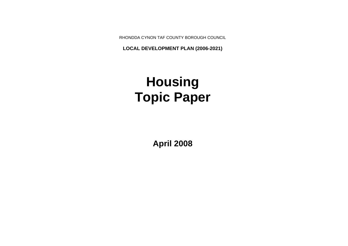RHONDDA CYNON TAF COUNTY BOROUGH COUNCIL

**LOCAL DEVELOPMENT PLAN (2006-2021)**

# **Housing Topic Paper**

**April 2008**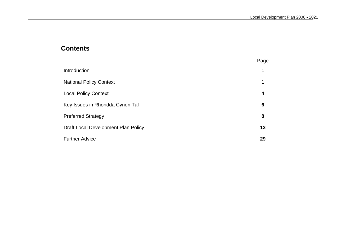# **Contents**

|                                     | Page |
|-------------------------------------|------|
| Introduction                        | 1    |
| <b>National Policy Context</b>      | 1    |
| <b>Local Policy Context</b>         | 4    |
| Key Issues in Rhondda Cynon Taf     | 6    |
| <b>Preferred Strategy</b>           | 8    |
| Draft Local Development Plan Policy | 13   |
| <b>Further Advice</b>               | 29   |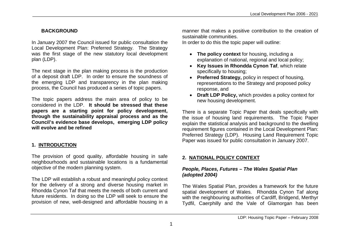## **BACKGROUND**

In January 2007 the Council issued for public consultation the Local Development Plan: Preferred Strategy. The Strategy was the first stage of the new statutory local development plan (LDP).

The next stage in the plan making process is the production of a deposit draft LDP. In order to ensure the soundness of the emerging LDP and transparency in the plan making process, the Council has produced a series of topic papers.

The topic papers address the main area of policy to be considered in the LDP. **It should be stressed that these papers are a starting point for policy development, through the sustainability appraisal process and as the Council's evidence base develops, emerging LDP policy will evolve and be refined**

# **1. INTRODUCTION**

The provision of good quality, affordable housing in safe neighbourhoods and sustainable locations is a fundamental objective of the modern planning system.

The LDP will establish a robust and meaningful policy context for the delivery of a strong and diverse housing market in Rhondda Cynon Taf that meets the needs of both current and future residents. In doing so the LDP will seek to ensure the provision of new, well-designed and affordable housing in a manner that makes a positive contribution to the creation of sustainable communities.

In order to do this the topic paper will outline:

- **The policy context** for housing, including a explanation of national, regional and local policy;
- **Key Issues in Rhondda Cynon Taf**, which relate specifically to housing;
- **Preferred Strategy, policy in respect of housing,** representations to the Strategy and proposed policy response, and
- **Draft LDP Policy,** which provides a policy context for new housing development.

There is a separate Topic Paper that deals specifically with the issue of housing land requirements. The Topic Paper explain the statistical analysis and background to the dwelling requirement figures contained in the Local Development Plan: Preferred Strategy (LDP). Housing Land Requirement Topic Paper was issued for public consultation in January 2007.

## **2. NATIONAL POLICY CONTEXT**

### *People, Places, Futures – The Wales Spatial Plan (adopted 2004)*

The Wales Spatial Plan, provides a framework for the future spatial development of Wales. Rhondda Cynon Taf along with the neighbouring authorities of Cardiff, Bridgend, Merthyr Tydfil, Caerphilly and the Vale of Glamorgan has been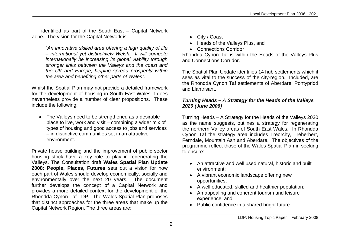identified as part of the South East – Capital Network Zone. The vision for the Capital Network is:

> *"An innovative skilled area offering a high quality of life – international yet distinctively Welsh. It will compete internationally be increasing its global viability through stronger links between the Valleys and the coast and the UK and Europe, helping spread prosperity within the area and benefiting other parts of Wales".*

Whilst the Spatial Plan may not provide a detailed framework for the development of housing in South East Wales it does nevertheless provide a number of clear propositions. These include the following:

• The Valleys need to be strengthened as a desirable place to live, work and visit – combining a wider mix of types of housing and good access to jobs and services – in distinctive communities set in an attractive environment.

Private house building and the improvement of public sector housing stock have a key role to play in regenerating the Valleys. The Consultation draft **Wales Spatial Plan Update 2008: People, Places, Futures** sets out a vision for how each part of Wales should develop economically, socially and environmentally over the next 20 years. The document further develops the concept of a Capital Network and provides a more detailed context for the development of the Rhondda Cynon Taf LDP. The Wales Spatial Plan proposes that distinct approaches for the three areas that make up the Capital Network Region. The three areas are:

- City / Coast
- Heads of the Valleys Plus, and
- Connections Corridor

Rhondda Cynon Taf is within the Heads of the Valleys Plus and Connections Corridor.

The Spatial Plan Update identifies 14 hub settlements which it sees as vital to the success of the city-region. Included, are the Rhondda Cynon Taf settlements of Aberdare, Pontypridd and Llantrisant.

### *Turning Heads – A Strategy for the Heads of the Valleys 2020 (June 2006)*

Turning Heads – A Strategy for the Heads of the Valleys 2020 as the name suggests, outlines a strategy for regenerating the northern Valley areas of South East Wales. In Rhondda Cynon Taf the strategy area includes Treorchy, Treherbert, Ferndale, Mountain Ash and Aberdare. The objectives of the programme reflect those of the Wales Spatial Plan in seeking to ensure:

- An attractive and well used natural, historic and built environment;
- A vibrant economic landscape offering new opportunities;
- A well educated, skilled and healthier population;
- An appealing and coherent tourism and leisure experience, and
- Public confidence in a shared bright future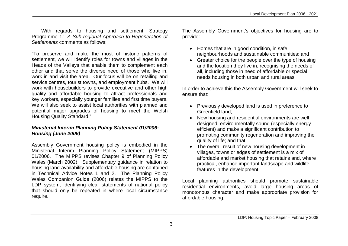With regards to housing and settlement, Strategy Programme 1*: A Sub regional Approach to Regeneration of Settlements* comments as follows;

"To preserve and make the most of historic patterns of settlement, we will identify roles for towns and villages in the Heads of the Valleys that enable them to complement each other and that serve the diverse need of those who live in, work in and visit the area. Our focus will be on retailing and service centres, tourist towns, and employment hubs. We will work with housebuilders to provide executive and other high quality and affordable housing to attract professionals and key workers, especially younger families and first time buyers. We will also seek to assist local authorities with planned and potential major upgrades of housing to meet the Welsh Housing Quality Standard."

#### *Ministerial Interim Planning Policy Statement 01/2006: Housing (June 2006)*

Assembly Government housing policy is embodied in the Ministerial Interim Planning Policy Statement (MIPPS) 01/2006. The MIPPS revises Chapter 9 of Planning Policy Wales (March 2002). Supplementary guidance in relation to housing land availability and affordable housing are contained in Technical Advice Notes 1 and 2. The Planning Policy Wales Companion Guide (2006) relates the MIPPS to the LDP system, identifying clear statements of national policy that should only be repeated in where local circumstance require.

The Assembly Government's objectives for housing are to provide:

- Homes that are in good condition, in safe neighbourhoods and sustainable communities; and
- Greater choice for the people over the type of housing and the location they live in, recognising the needs of all, including those in need of affordable or special needs housing in both urban and rural areas.

In order to achieve this the Assembly Government will seek to ensure that:

- Previously developed land is used in preference to Greenfield land;
- New housing and residential environments are well designed, environmentally sound (especially energy efficient) and make a significant contribution to promoting community regeneration and improving the quality of life; and that
- The overall result of new housing development in villages, towns or edges of settlement is a mix of affordable and market housing that retains and, where practical, enhance important landscape and wildlife features in the development.

Local planning authorities should promote sustainable residential environments, avoid large housing areas of monotonous character and make appropriate provision for affordable housing.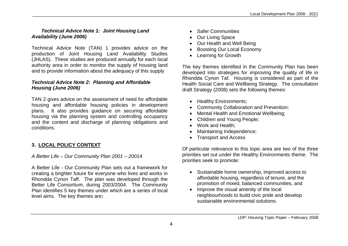#### *Technical Advice Note 1: Joint Housing Land Availability (June 2006)*

Technical Advice Note (TAN) 1 provides advice on the production of Joint Housing Land Availability Studies (JHLAS). These studies are produced annually for each local authority area in order to monitor the supply of housing land and to provide information about the adequacy of this supply

#### *Technical Advice Note 2: Planning and Affordable Housing (June 2006)*

TAN 2 gives advice on the assessment of need for affordable housing and affordable housing policies in development plans. It also provides guidance on securing affordable housing via the planning system and controlling occupancy and the content and discharge of planning obligations and conditions.

# **3. LOCAL POLICY CONTEXT**

*A Better Life – Our Community Plan 2001 – 20014*

A Better Life - Our Community Plan sets out a framework for creating a brighter future for everyone who lives and works in Rhondda Cynon Taff. The plan was developed through the Better Life Consortium, during 2003/2004. The Community Plan identifies 5 key themes under which are a series of local level aims. The key themes are**:**

- Safer Communities
- Our Living Space
- Our Health and Well Being
- Boosting Our Local Economy
- Learning for Growth

The key themes identified in the Community Plan has been developed into strategies for improving the quality of life in Rhondda Cynon Taf. Housing is considered as part of the Health Social Care and Wellbeing Strategy. The consultation draft Strategy (2008) sets the following themes:

- Healthy Environments;
- Community Collaboration and Prevention;
- Mental Health and Emotional Wellbeing;
- Children and Young People:
- Work and Health:
- Maintaining Independence;
- Transport and Access

Of particular relevance to this topic area are two of the three priorities set out under the Healthy Environments theme. The priorities seek to promote:

- Sustainable home ownership, improved access to affordable housing, regardless of tenure, and the promotion of mixed, balanced communities, and
- Improve the visual amenity of the local neighbourhoods to build civic pride and develop sustainable environmental solutions.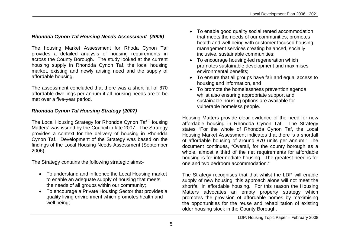## *Rhondda Cynon Taf Housing Needs Assessment (2006)*

The housing Market Assessment for Rhoda Cynon Taf provides a detailed analysis of housing requirements in across the County Borough. The study looked at the current housing supply in Rhondda Cynon Taf, the local housing market, existing and newly arising need and the supply of affordable housing.

The assessment concluded that there was a short fall of 870 affordable dwellings per annum if all housing needs are to be met over a five-year period.

### *Rhondda Cynon Taf Housing Strategy (2007)*

The Local Housing Strategy for Rhondda Cynon Taf 'Housing Matters' was issued by the Council in late 2007. The Strategy provides a context for the delivery of housing in Rhondda Cynon Taf. Development of the Strategy was based on the findings of the Local Housing Needs Assessment (September 2006).

The Strategy contains the following strategic aims:-

- To understand and influence the Local Housing market to enable an adequate supply of housing that meets the needs of all groups within our community;
- To encourage a Private Housing Sector that provides a quality living environment which promotes health and well being;
- To enable good quality social rented accommodation that meets the needs of our communities, promotes health and well being with customer focused housing management services creating balanced, socially inclusive, sustainable communities;
- To encourage housing-led regeneration which promotes sustainable development and maximises environmental benefits;
- To ensure that all groups have fair and equal access to housing and information, and
- To promote the homelessness prevention agenda whilst also ensuring appropriate support and sustainable housing options are available for vulnerable homeless people.

Housing Matters provide clear evidence of the need for new affordable housing in Rhondda Cynon Taf. The Strategy states "For the whole of Rhondda Cynon Taf, the Local Housing Market Assessment indicates that there is a shortfall of affordable housing of around 870 units per annum." The document continues, "Overall, for the county borough as a whole, almost a third of the net requirements for affordable housing is for intermediate housing. The greatest need is for one and two bedroom accommodation."

The Strategy recognises that that whilst the LDP will enable supply of new housing, this approach alone will not meet the shortfall in affordable housing. For this reason the Housing Matters advocates an empty property strategy which promotes the provision of affordable homes by maximising the opportunities for the reuse and rehabilitation of existing older housing stock in the County Borough.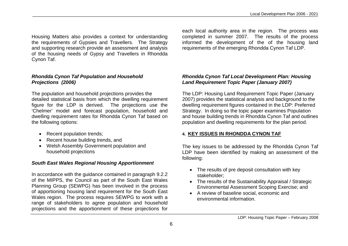Housing Matters also provides a context for understanding the requirements of Gypsies and Travellers. The Strategy and supporting research provide an assessment and analysis of the housing needs of Gypsy and Travellers in Rhondda Cynon Taf.

#### *Rhondda Cynon Taf Population and Household Projections (2006)*

The population and household projections provides the detailed statistical basis from which the dwelling requirement figure for the LDP is derived. The projections use the 'Chelmer' model and forecast population, household and dwelling requirement rates for Rhondda Cynon Taf based on the following options:

- Recent population trends;
- Recent house building trends, and
- Welsh Assembly Government population and household projections

## *South East Wales Regional Housing Apportionment*

In accordance with the guidance contained in paragraph 9.2.2 of the MIPPS, the Council as part of the South East Wales Planning Group (SEWPG) has been involved in the process of apportioning housing land requirement for the South East Wales region. The process requires SEWPG to work with a range of stakeholders to agree population and household projections and the apportionment of these projections for

each local authority area in the region. The process was completed in summer 2007. The results of the process informed the development of the of the housing land requirements of the emerging Rhondda Cynon Taf LDP.

## *Rhondda Cynon Taf Local Development Plan: Housing Land Requirement Topic Paper (January 2007)*

The LDP: Housing Land Requirement Topic Paper (January 2007) provides the statistical analysis and background to the dwelling requirement figures contained in the LDP: Preferred Strategy. In doing so the topic paper examines Population and house building trends in Rhondda Cynon Taf and outlines population and dwelling requirements for the plan period.

# **4. KEY ISSUES IN RHONDDA CYNON TAF**

The key issues to be addressed by the Rhondda Cynon Taf LDP have been identified by making an assessment of the following:

- The results of pre deposit consultation with key stakeholder;
- The results of the Sustainability Appraisal / Strategic Environmental Assessment Scoping Exercise; and
- A review of baseline social, economic and environmental information.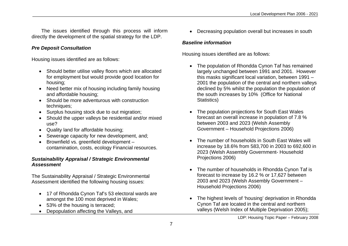The issues identified through this process will inform directly the development of the spatial strategy for the LDP.

#### *Pre Deposit Consultation*

Housing issues identified are as follows:

- Should better utilise valley floors which are allocated for employment but would provide good location for housing;
- Need better mix of housing including family housing and affordable housing;
- Should be more adventurous with construction techniques;
- Surplus housing stock due to out migration;
- Should the upper valleys be residential and/or mixed use?
- Quality land for affordable housing;
- Sewerage capacity for new development, and;
- Brownfield vs. greenfield development contamination, costs, ecology Financial resources.

### *Sustainability Appraisal / Strategic Environmental Assessment*

The Sustainability Appraisal / Strategic Environmental Assessment identified the following housing issues:

- 17 of Rhondda Cynon Taf's 53 electoral wards are amongst the 100 most deprived in Wales;
- 53% of the housing is terraced;
- Depopulation affecting the Valleys, and

Decreasing population overall but increases in south

## *Baseline information*

Housing issues identified are as follows:

- The population of Rhondda Cynon Taf has remained largely unchanged between 1991 and 2001. However this masks significant local variation, between 1991 – 2001 the population of the central and northern valleys declined by 5% whilst the population the population of the south increases by 10% (Office for National Statistics)
- The population projections for South East Wales forecast an overall increase in population of 7.8 % between 2003 and 2023 (Welsh Assembly Government – Household Projections 2006)
- The number of households in South East Wales will increase by 18.6% from 583,700 in 2003 to 692,600 in 2023 (Welsh Assembly Government- Household Projections 2006)
- The number of households in Rhondda Cynon Taf is forecast to increase by 16.2 % or 17,627 between 2003 and 2023 (Welsh Assembly Government – Household Projections 2006)
- The highest levels of 'housing' deprivation in Rhondda Cynon Taf are located in the central and northern valleys (Welsh Index of Multiple Deprivation 2005);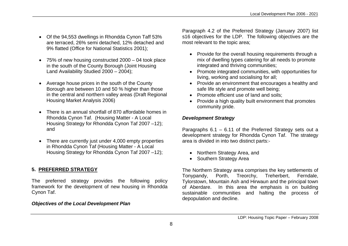- Of the 94,553 dwellings in Rhondda Cynon Taff 53% are terraced, 26% semi detached, 12% detached and 9% flatted (Office for National Statistics 2001);
- 75% of new housing constructed 2000 04 took place in the south of the County Borough (Joint Housing Land Availability Studied 2000 – 2004);
- Average house prices in the south of the County Borough are between 10 and 50 % higher than those in the central and northern valley areas (Draft Regional Housing Market Analysis 2006)
- There is an annual shortfall of 870 affordable homes in Rhondda Cynon Taf. (Housing Matter - A Local Housing Strategy for Rhondda Cynon Taf 2007 –12); and
- There are currently just under 4,000 empty properties in Rhondda Cynon Taf (Housing Matter - A Local Housing Strategy for Rhondda Cynon Taf 2007 –12);

## **5. PREFERRED STRATEGY**

The preferred strategy provides the following policy framework for the development of new housing in Rhondda Cynon Taf.

#### *Objectives of the Local Development Plan*

Paragraph 4.2 of the Preferred Strategy (January 2007) list s16 objectives for the LDP. The following objectives are the most relevant to the topic area;

- Provide for the overall housing requirements through a mix of dwelling types catering for all needs to promote integrated and thriving communities;
- Promote integrated communities, with opportunities for living, working and socialising for all;
- Provide an environment that encourages a healthy and safe life style and promote well being;
- Promote efficient use of land and soils:
- Provide a high quality built environment that promotes community pride.

### *Development Strategy*

Paragraphs 6.1 – 6.11 of the Preferred Strategy sets out a development strategy for Rhondda Cynon Taf. The strategy area is divided in into two distinct parts:-

- Northern Strategy Area, and
- Southern Strategy Area

The Northern Strategy area comprises the key settlements of Tonypandy, Porth, Treorchy, Treherbert, Ferndale, Tylorstown, Mountain Ash and Hirwaun and the principal town of Aberdare. In this area the emphasis is on building sustainable communities and halting the process of depopulation and decline.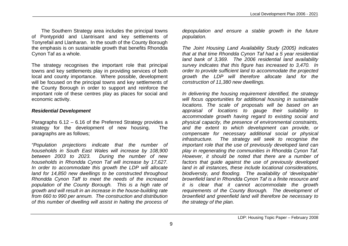The Southern Strategy area includes the principal towns of Pontypridd and Llantrisant and key settlements of Tonyrefail and Llanharan. In the south of the County Borough the emphasis is on sustainable growth that benefits Rhondda Cynon Taf as a whole.

The strategy recognises the important role that principal towns and key settlements play in providing services of both local and county importance. Where possible, development will be focused on the principal towns and key settlements of the County Borough in order to support and reinforce the important role of these centres play as places for social and economic activity.

### *Residential Development*

Paragraphs 6.12 – 6.16 of the Preferred Strategy provides a strategy for the development of new housing. The paragraphs are as follows;

*"Population projections indicate that the number of households in South East Wales will increase by 108,900 between 2003 to 2023. During the number of new households in Rhondda Cynon Taf will increase by 17,627. In order to accommodate this growth the LDP will allocate land for 14,850 new dwellings to be constructed throughout Rhondda Cynon Taff to meet the needs of the increased population of the County Borough. This is a high rate of growth and will result in an increase in the house-building rate from 660 to 990 per annum. The construction and distribution of this number of dwelling will assist in halting the process of*  *depopulation and ensure a stable growth in the future population.*

*The Joint Housing Land Availability Study (2005) indicates that at that time Rhondda Cynon Taf had a 5 year residential land bank of 3,369. The 2006 residential land availability survey indicates that this figure has increased to 3,470. In order to provide sufficient land to accommodate the projected growth the LDP will therefore allocate land for the construction of 11,380 new dwellings.*

*In delivering the housing requirement identified, the strategy will focus opportunities for additional housing in sustainable locations. The scale of proposals will be based on an appraisal of locations to gauge their suitability to accommodate growth having regard to existing social and physical capacity, the presence of environmental constraints, and the extent to which development can provide, or compensate for necessary additional social or physical infrastructure. The strategy will seek to recognise the important role that the use of previously developed land can play in regenerating the communities in Rhondda Cynon Taf. However, it should be noted that there are a number of factors that guide against the use of previously developed land in all instances, these include locational considerations, biodiversity, and flooding. The availability of 'developable' brownfield land in Rhondda Cynon Taf is a finite resource and it is clear that it cannot accommodate the growth requirements of the County Borough. The development of brownfield and greenfield land will therefore be necessary to the strategy of the plan.*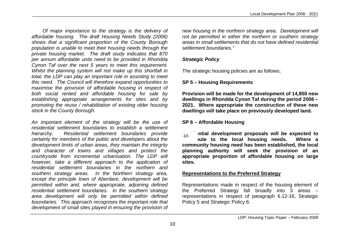*Of major importance to the strategy is the delivery of affordable housing. The draft Housing Needs Study (2006) shows that a significant proportion of the County Borough population is unable to meet their housing needs through the private housing market. The draft study indicates that 870 per annum affordable units need to be provided in Rhondda Cynon Taf over the next 5 years to meet this requirement. Whilst the planning system will not make up this shortfall in total, the LDP can play an important role in assisting to meet this need. The Council will therefore expand opportunities to maximise the provision of affordable housing in respect of both social rented and affordable housing for sale by establishing appropriate arrangements for sites and by promoting the reuse / rehabilitation of existing older housing stock in the County Borough.*

*An important element of the strategy will be the use of residential settlement boundaries to establish a settlement hierarchy. Residential settlement boundaries provide certainty for members of the public and developers about the development limits of urban areas, they maintain the integrity and character of towns and villages and protect the countryside from incremental urbanisation. The LDP will however, take a different approach to the application of residential settlement boundaries in the northern and southern strategy areas. In the Northern strategy area, except the principle town of Aberdare, development will be permitted within and, where appropriate, adjoining defined residential settlement boundaries. In the southern strategy area development will only be permitted within defined boundaries. This approach recognises the important role that development of small sites played in ensuring the provision of* 

*new housing in the northern strategy area. Development will not be permitted in either the northern or southern strategy areas in small settlements that do not have defined residential settlement boundaries."*

## *Strategic Policy*

The strategic housing policies are as follows;

## **SP 5 – Housing Requirements**

**Provision will be made for the development of 14,850 new dwellings in Rhondda Cynon Taf during the period 2006 – 2021. Where appropriate the construction of these new dwellings will take place on previously developed land.**

## **SP 6 – Affordable Housing**

**ential development proposals will be expected to contribute to the local housing needs. Where a community housing need has been established, the local planning authority will seek the provision of an appropriate proportion of affordable housing on large sites.**  $-10-$ 

### **Representations to the Preferred Strategy**

Representations made in respect of the housing element of the Preferred Strategy fall broadly into 3 areas – representations in respect of paragraph 6.12-16, Strategic Policy 5 and Strategic Policy 6.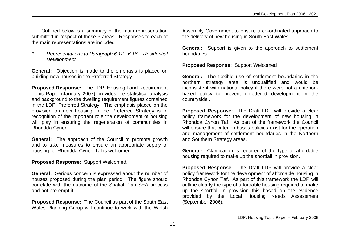Outlined below is a summary of the main representation submitted in respect of these 3 areas. Responses to each of the main representations are included

*1. Representations to Paragraph 6.12 –6.16 – Residential Development* 

**General:** Objection is made to the emphasis is placed on building new houses in the Preferred Strategy

**Proposed Response:** The LDP: Housing Land Requirement Topic Paper (January 2007) provides the statistical analysis and background to the dwelling requirement figures contained in the LDP: Preferred Strategy. The emphasis placed on the provision on new housing in the Preferred Strategy is in recognition of the important role the development of housing will play in ensuring the regeneration of communities in Rhondda Cynon.

**General:** The approach of the Council to promote growth and to take measures to ensure an appropriate supply of housing for Rhondda Cynon Taf is welcomed.

**Proposed Response:** Support Welcomed.

**General:** Serious concern is expressed about the number of houses proposed during the plan period. The figure should correlate with the outcome of the Spatial Plan SEA process and not pre-empt it.

**Proposed Response:** The Council as part of the South East Wales Planning Group will continue to work with the Welsh

Assembly Government to ensure a co-ordinated approach to the delivery of new housing in South East Wales

**General:** Support is given to the approach to settlement boundaries.

**Proposed Response:** Support Welcomed

**General:** The flexible use of settlement boundaries in the northern strategy area is unqualified and would be inconsistent with national policy if there were not a criterionbased policy to prevent unfettered development in the countryside .

**Proposed Response:** The Draft LDP will provide a clear policy framework for the development of new housing in Rhondda Cynon Taf. As part of the framework the Council will ensure that criterion bases policies exist for the operation and management of settlement boundaries in the Northern and Southern Strategy areas.

**General:** Clarification is required of the type of affordable housing required to make up the shortfall in provision**.**

**Proposed Response**: The Draft LDP will provide a clear policy framework for the development of affordable housing in Rhondda Cynon Taf. As part of this framework the LDP will outline clearly the type of affordable housing required to make up the shortfall in provision this based on the evidence provided by the Local Housing Needs Assessment (September 2006).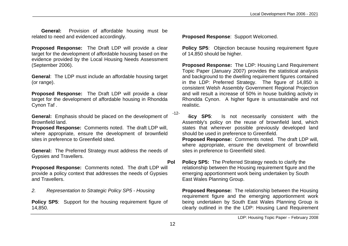**General:** Provision of affordable housing must be related to need and evidenced accordingly.

**Proposed Response:** The Draft LDP will provide a clear target for the development of affordable housing based on the evidence provided by the Local Housing Needs Assessment (September 2006).

**General**: The LDP must include an affordable housing target (or range).

**Proposed Response:** The Draft LDP will provide a clear target for the development of affordable housing in Rhondda Cynon Taf .

**General:** Emphasis should be placed on the development of Brownfield land.

**Proposed Response:** Comments noted. The draft LDP will, where appropriate, ensure the development of brownfield sites in preference to Greenfield sited.

**General:** The Preferred Strategy must address the needs of Gypsies and Travellers.

**Proposed Response:** Comments noted. The draft LDP will provide a policy context that addresses the needs of Gypsies and Travellers.

*2. Representation to Strategic Policy SP5 - Housing*

**Policy SP5:** Support for the housing requirement figure of 14,850.

**Proposed Response**: Support Welcomed.

**Policy SP5:** Objection because housing requirement figure of 14,850 should be higher.

**Proposed Response:** The LDP: Housing Land Requirement Topic Paper (January 2007) provides the statistical analysis and background to the dwelling requirement figures contained in the LDP: Preferred Strategy. The figure of 14,850 is consistent Welsh Assembly Government Regional Projection and will result a increase of 50% in house building activity in Rhondda Cynon. A higher figure is unsustainable and not realistic.

**Policy SP5:** Is not necessarily consistent with the Assembly's policy on the reuse of brownfield land, which states that wherever possible previously developed land should be used in preference to Greenfield.

**Proposed Response:** Comments noted. The draft LDP will, where appropriate, ensure the development of brownfield sites in preference to Greenfield sited.

**Pol Policy SP5:** The Preferred Strategy needs to clarify the relationship between the Housing requirement figure and the emerging apportionment work being undertaken by South East Wales Planning Group.

**Proposed Response:** The relationship between the Housing requirement figure and the emerging apportionment work being undertaken by South East Wales Planning Group is clearly outlined in the the LDP: Housing Land Requirement

-12-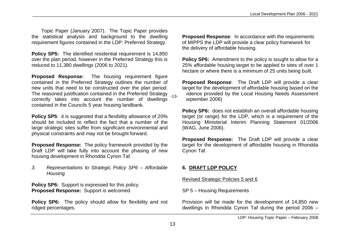Topic Paper (January 2007). The Topic Paper provides the statistical analysis and background to the dwelling requirement figures contained in the LDP: Preferred Strategy.

**Policy SP5:** The identified residential requirement is 14,850 over the plan period, however in the Preferred Strategy this is reduced to 11,380 dwellings (2006 to 2021).

**Proposed Response:** The housing requirement figure contained in the Preferred Strategy outlines the number of new units that need to be constructed over the plan period. The reasoned justification contained in the Preferred Strategy <sub>-13-</sub> correctly takes into account the number of dwellings contained in the Councils 5 year housing landbank.

**Policy SP5:** it is suggested that a flexibility allowance of 20% should be included to reflect the fact that a number of the large strategic sites suffer from significant environmental and physical constraints and may not be brought forward.

**Proposed Response:** The policy framework provided by the Draft LDP will take fully into account the phasing of new housing development in Rhondda Cynon Taf.

*3. Representations to Strategic Policy SP6 – Affordable Housing*

**Policy SP6:** Support is expressed for this policy. **Proposed Response:** Support is welcomed.

**Policy SP6:** The policy should allow for flexibility and not ridged percentages.

**Proposed Response**: In accordance with the requirements of MIPPS the LDP will provide a clear policy framework for the delivery of affordable housing.

**Policy SP6:** Amendment to the policy is sought to allow for a 25% affordable housing target to be applied to sites of over 1 hectare or where there is a minimum of 25 units being built.

**Proposed Response**: The Draft LDP will provide a clear target for the development of affordable housing based on the idence provided by the Local Housing Needs Assessment (September 2006)

**Policy SP6:** does not establish an overall affordable housing target (or range) for the LDP, which is a requirement of the Housing Ministerial Interim Planning Statement 01/2006 (WAG, June 2006).

**Proposed Response:** The Draft LDP will provide a clear target for the development of affordable housing in Rhondda Cynon Taf.

## **6. DRAFT LDP POLICY**

Revised Strategic Policies 5 and 6

SP 5 – Housing Requirements

Provision will be made for the development of 14,850 new dwellings in Rhondda Cynon Taf during the period 2006 –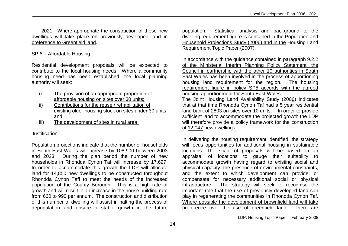2021. Where appropriate the construction of these new dwellings will take place on previously developed land in preference to Greenfield land.

## SP 6 – Affordable Housing

Residential development proposals will be expected to contribute to the local housing needs. Where a community housing need has been established, the local planning authority will seek:

- i) The provision of an appropriate proportion of affordable housing on sites over 30 units;
- ii) Contributions for the reuse / rehabilitation of existing older housing stock on sites under 30 units, and
- iii) The development of sites in rural area.

#### Justification

Population projections indicate that the number of households in South East Wales will increase by 108,900 between 2003 and 2023. During the plan period the number of new households in Rhondda Cynon Taf will increase by 17,627. In order to accommodate this growth the LDP will allocate land for 14,850 new dwellings to be constructed throughout Rhondda Cynon Taff to meet the needs of the increased population of the County Borough. This is a high rate of growth and will result in an increase in the house building rate from 660 to 990 per annum. The construction and distribution of this number of dwelling will assist in halting the process of depopulation and ensure a stable growth in the future

population. Statistical analysis and background to the dwelling requirement figure is contained in the Population and Household Projections Study (2006) and in the Housing Land Requirement Topic Paper (2007).

In accordance with the guidance contained in paragraph 9.2.2 of the Ministerial Interim Planning Policy Statement, the Council in partnership with the other 10 authorities in South East Wales has been involved in the process of apportioning housing land requirement for the region. The housing requirement figure in policy SP5 accords with the agreed housing apportionment for South East Wales.

The Joint Housing Land Availability Study (2006) indicates that at that time Rhondda Cynon Taf had a 5 year residential land bank of 2803 on sites over 10 units. In order to provide sufficient land to accommodate the projected growth the LDP will therefore provide a policy framework for the construction of 12,047 new dwellings.

In delivering the housing requirement identified, the strategy will focus opportunities for additional housing in sustainable locations. The scale of proposals will be based on an appraisal of locations to gauge their suitability to accommodate growth having regard to existing social and physical capacity, the presence of environmental constraints, and the extent to which development can provide, or compensate for necessary additional social or physical infrastructure. The strategy will seek to recognise the important role that the use of previously developed land can play in regenerating the communities in Rhondda Cynon Taf. Where possible the development of brownfield land will take preference over the use of greenfield land. There are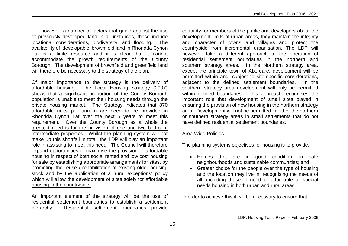however, a number of factors that guide against the use of previously developed land in all instances, these include locational considerations, biodiversity, and flooding. The availability of 'developable' brownfield land in Rhondda Cynon Taf is a finite resource and it is clear that it cannot accommodate the growth requirements of the County Borough. The development of brownfield and greenfield land will therefore be necessary to the strategy of the plan.

Of major importance to the strategy is the delivery of affordable housing. The Local Housing Strategy (2007) shows that a significant proportion of the County Borough population is unable to meet their housing needs through the private housing market. The Strategy indicates that 870 affordable units per annum are need to be provided in Rhondda Cynon Taf over the next 5 years to meet this requirement. Over the County Borough as a whole the greatest need is for the provision of one and two bedroom intermediate properties. Whilst the planning system will not make up this shortfall in total, the LDP will play an important role in assisting to meet this need. The Council will therefore expand opportunities to maximise the provision of affordable housing in respect of both social rented and low cost housing for sale by establishing appropriate arrangements for sites, by promoting the reuse / rehabilitation of existing older housing stock and by the application of a 'rural exceptions' policy which will allow the development of sites solely for affordable housing in the countryside.

An important element of the strategy will be the use of residential settlement boundaries to establish a settlement hierarchy. Residential settlement boundaries provide

certainty for members of the public and developers about the development limits of urban areas, they maintain the integrity and character of towns and villages and protect the countryside from incremental urbanisation. The LDP will however, take a different approach to the operation of residential settlement boundaries in the northern and southern strategy areas. In the Northern strategy area, except the principle town of Aberdare, development will be permitted within and, subject to site-specific considerations, adjacent to the defined settlement boundaries. In the southern strategy area development will only be permitted within defined boundaries. This approach recognises the important role that development of small sites played in ensuring the provision of new housing in the northern strategy area. Development will not be permitted in either the northern or southern strategy areas in small settlements that do not have defined residential settlement boundaries.

## Area Wide Policies

The planning systems objectives for housing is to provide:

- Homes that are in good condition, in safe neighbourhoods and sustainable communities; and
- Greater choice for the people over the type of housing and the location they live in, recognising the needs of all, including those in need of affordable or special needs housing in both urban and rural areas.

In order to achieve this it will be necessary to ensure that: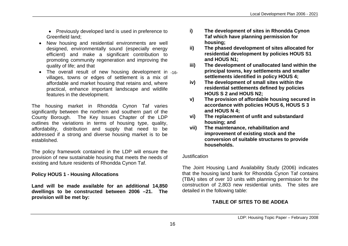• Previously developed land is used in preference to Greenfield land;

- New housing and residential environments are well designed, environmentally sound (especially energy efficient) and make a significant contribution to promoting community regeneration and improving the quality of life; and that
- The overall result of new housing development in -16villages, towns or edges of settlement is a mix of affordable and market housing that retains and, where practical, enhance important landscape and wildlife features in the development.

The housing market in Rhondda Cynon Taf varies significantly between the northern and southern part of the County Borough. The Key Issues Chapter of the LDP outlines the variations in terms of housing type, quality, affordability, distribution and supply that need to be addressed if a strong and diverse housing market is to be established.

The policy framework contained in the LDP will ensure the provision of new sustainable housing that meets the needs of existing and future residents of Rhondda Cynon Taf.

## **Policy HOUS 1 - Housing Allocations**

**Land will be made available for an additional 14,850 dwellings to be constructed between 2006 –21. The provision will be met by:**

- **i) The development of sites in Rhondda Cynon Taf which have planning permission for housing;**
- **ii) The phased development of sites allocated for residential development by policies HOUS S1 and HOUS N1;**
- **iii) The development of unallocated land within the principal towns, key settlements and smaller settlements identified in policy HOUS 4;**
- **iv) The development of small sites within the residential settlements defined by policies HOUS S 2 and HOUS N2;**
- **v) The provision of affordable housing secured in accordance with policies HOUS 6, HOUS S 3 and HOUS N 4;**
- **vi) The replacement of unfit and substandard housing; and**
- **vii) The maintenance, rehabilitation and improvement of existing stock and the conversion of suitable structures to provide households.**

#### Justification

The Joint Housing Land Availability Study (2006) indicates that the housing land bank for Rhondda Cynon Taf contains (TBA) sites of over 10 units with planning permission for the construction of 2,803 new residential units. The sites are detailed in the following table:

# **TABLE OF SITES TO BE ADDEA**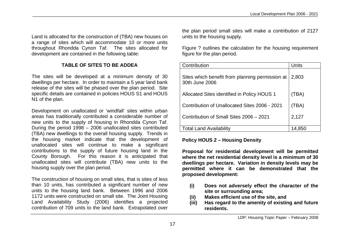Land is allocated for the construction of (TBA) new houses on a range of sites which will accommodate 10 or more units throughout Rhondda Cynon Taf. The sites allocated for development are contained in the following table:

## **TABLE OF SITES TO BE ADDEA**

The sites will be developed at a minimum density of 30 dwellings per hectare. In order to maintain a 5 year land bank release of the sites will be phased over the plan period. Site specific details are contained in policies HOUS S1 and HOUS N1 of the plan.

Development on unallocated or 'windfall' sites within urban areas has traditionally contributed a considerable number of new units to the supply of housing in Rhondda Cynon Taf. During the period 1998 – 2006 unallocated sites contributed (TBA) new dwellings to the overall housing supply. Trends in the housing market indicate that the development of unallocated sites will continue to make a significant contributions to the supply of future housing land in the County Borough. For this reason it is anticipated that unallocated sites will contribute (TBA) new units to the housing supply over the plan period.

The construction of housing on small sites, that is sites of less than 10 units, has contributed a significant number of new units to the housing land bank. Between 1996 and 2006 1172 units were constructed on small site. The Joint Housing Land Availability Study (2006) identifies a projected contribution of 709 units to the land bank. Extrapolated over the plan period small sites will make a contribution of 2127 units to the housing supply.

Figure ? outlines the calculation for the housing requirement figure for the plan period.

| Contribution                                                      | Units  |
|-------------------------------------------------------------------|--------|
| Sites which benefit from planning permission at<br>30th June 2006 | 2,803  |
| Allocated Sites identified in Policy HOUS 1                       | (TBA)  |
| Contribution of Unallocated Sites 2006 - 2021                     | (TBA)  |
| Contribution of Small Sites 2006 - 2021                           | 2,127  |
| <b>Total Land Availability</b>                                    | 14,850 |

## **Policy HOUS 2 – Housing Density**

**Proposal for residential development will be permitted where the net residential density level is a minimum of 30 dwellings per hectare. Variation in density levels may be permitted where it can be demonstrated that the proposed development:**

- **(i) Does not adversely effect the character of the site or surrounding area;**
- **(ii) Makes efficient use of the site, and**
- **(iii) Has regard to the amenity of existing and future residents.**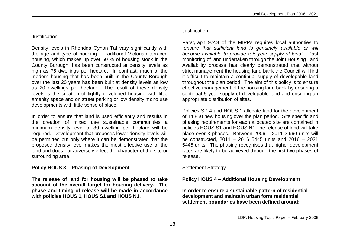#### Justification

Density levels in Rhondda Cynon Taf vary significantly with the age and type of housing. Traditional Victorian terraced housing, which makes up over 50 % of housing stock in the County Borough, has been constructed at density levels as high as 75 dwellings per hectare. In contrast, much of the modern housing that has been built in the County Borough over the last 20 years has been built at density levels as low as 20 dwellings per hectare. The result of these density levels is the creation of tightly developed housing with little amenity space and on street parking or low density mono use developments with little sense of place.

In order to ensure that land is used efficiently and results in the creation of mixed use sustainable communities a minimum density level of 30 dwelling per hectare will be required. Development that proposes lower density levels will be permitted but only where it can be demonstrated that the proposed density level makes the most effective use of the land and does not adversely effect the character of the site or surrounding area.

## **Policy HOUS 3 – Phasing of Development**

**The release of land for housing will be phased to take account of the overall target for housing delivery. The phase and timing of release will be made in accordance with policies HOUS 1, HOUS S1 and HOUS N1.**

#### Justification

Paragraph 9.2.3 of the MIPPs requires local authorities to *"ensure that sufficient land is genuinely available or will become available to provide a 5 year supply of land".* Past monitoring of land undertaken through the Joint Housing Land Availability process has clearly demonstrated that without strict management the housing land bank the Council will find it difficult to maintain a continual supply of developable land throughout the plan period. The aim of this policy is to ensure effective management of the housing land bank by ensuring a continual 5 year supply of developable land and ensuring an appropriate distribution of sites.

Policies SP 4 and HOUS 1 allocate land for the development of 14,850 new housing over the plan period. Site specific and phasing requirements for each allocated site are contained in policies HOUS S1 and HOUS N1.The release of land will take place over 3 phases. Between 2006 – 2011 3,960 units will be constructed, 2011 – 2016 5445 units and 2016 – 2021 5445 units. The phasing recognises that higher development rates are likely to be achieved through the first two phases of release.

## Settlement Strategy

# **Policy HOUS 4 – Additional Housing Development**

**In order to ensure a sustainable pattern of residential development and maintain urban form residential settlement boundaries have been defined around:**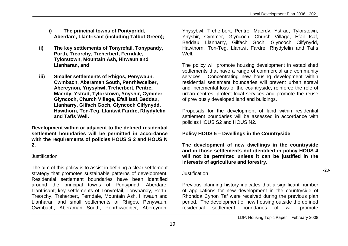- **i) The principal towns of Pontypridd, Aberdare, Llantrisant (including Talbot Green);**
- **ii) The key settlements of Tonyrefail, Tonypandy, Porth, Treorchy, Treherbert, Ferndale, Tylorstown, Mountain Ash, Hirwaun and Llanharan, and**
- **iii) Smaller settlements of Rhigos, Penywaun, Cwmbach, Aberaman South, Penrhiwceiber, Abercynon, Ynysybwl, Treherbert, Pentre, Maerdy, Ystrad, Tylorstown, Ynyshir, Cymmer, Glyncoch, Church Village, Efail Isaf, Beddau, Llanharry, Gilfach Goch, Glyncoch Cilfynydd, Hawthorn, Ton-Teg, Llantwit Fardre, Rhydyfelin and Taffs Well.**

**Development within or adjacent to the defined residential settlement boundaries will be permitted in accordance with the requirements of policies HOUS S 2 and HOUS N 2.**

#### Justification

The aim of this policy is to assist in defining a clear settlement strategy that promotes sustainable patterns of development. Residential settlement boundaries have been identified around the principal towns of Pontypridd, Aberdare, Llantrisant; key settlements of Tonyrefail, Tonypandy, Porth, Treorchy, Treherbert, Ferndale, Mountain Ash, Hirwaun and Llanharan and small settlements of Rhigos, Penywaun, Cwmbach, Aberaman South, Penrhiwceiber, Abercynon,

Ynysybwl, Treherbert, Pentre, Maerdy, Ystrad, Tylorstown, Ynyshir, Cymmer, Glyncoch, Church Village, Efail Isaf, Beddau, Llanharry, Gilfach Goch, Glyncoch Cilfynydd, Hawthorn, Ton-Teg, Llantwit Fardre, Rhydyfelin and Taffs Well.

The policy will promote housing development in established settlements that have a range of commercial and community services. Concentrating new housing development within residential settlement boundaries will prevent urban sprawl and incremental loss of the countryside, reinforce the role of urban centres, protect local services and promote the reuse of previously developed land and buildings.

Proposals for the development of land within residential settlement boundaries will be assessed in accordance with policies HOUS S2 and HOUS N2.

#### **Policy HOUS 5 – Dwellings in the Countryside**

**The development of new dwellings in the countryside and in those settlements not identified in policy HOUS 4 will not be permitted unless it can be justified in the interests of agriculture and forestry.**

#### **Justification**

Previous planning history indicates that a significant number of applications for new development in the countryside of Rhondda Cynon Taf were received during the previous plan period. The development of new housing outside the defined residential settlement boundaries of will promote

-20-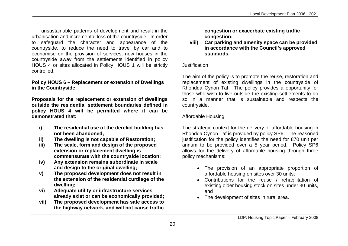unsustainable patterns of development and result in the urbanisation and incremental loss of the countryside. In order to safeguard the character and appearance of the countryside, to reduce the need to travel by car and to economise on the provision of services, new houses in the countryside away from the settlements identified in policy HOUS 4 or sites allocated in Policy HOUS 1 will be strictly controlled.

## **Policy HOUS 6 – Replacement or extension of Dwellings in the Countryside**

**Proposals for the replacement or extension of dwellings outside the residential settlement boundaries defined in policy HOUS 4 will be permitted where it can be demonstrated that:**

- **i) The residential use of the derelict building has not been abandoned;**
- **ii) The dwelling is not capable of Restoration;**
- **iii) The scale, form and design of the proposed extension or replacement dwelling is commensurate with the countryside location;**
- **iv) Any extension remains subordinate in scale and design to the original dwelling;**
- **v) The proposed development does not result in the extension of the residential curtilage of the dwelling;**
- **vi) Adequate utility or infrastructure services already exist or can be economically provided;**
- **vii) The proposed development has safe access to the highway network, and will not cause traffic**

**congestion or exacerbate existing traffic congestion;**

**viii) Car parking and amenity space can be provided in accordance with the Council's approved standards.**

#### Justification

The aim of the policy is to promote the reuse, restoration and replacement of existing dwellings in the countryside of Rhondda Cynon Taf. The policy provides a opportunity for those who wish to live outside the existing settlements to do so in a manner that is sustainable and respects the countryside.

## Affordable Housing

The strategic context for the delivery of affordable housing in Rhondda Cynon Taf is provided by policy SP6. The reasoned justification for the policy identifies the need for 870 unit per annum to be provided over a 5 year period. Policy SP6 allows for the delivery of affordable housing through three policy mechanisms:

- The provision of an appropriate proportion of affordable housing on sites over 30 units;
- Contributions for the reuse / rehabilitation of existing older housing stock on sites under 30 units, and
- The development of sites in rural area.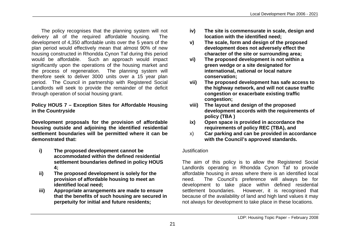The policy recognises that the planning system will not delivery all of the required affordable housing. The development of 4,350 affordable units over the 5 years of the plan period would effectively mean that almost 90% of new housing constructed in Rhondda Cynon Taf during this period would be affordable. Such an approach would impact significantly upon the operations of the housing market and the process of regeneration. The planning system will therefore seek to deliver 3000 units over a 15 year plan period. The Council in partnership with Registered Social Landlords will seek to provide the remainder of the deficit through operation of social housing grant.

#### **Policy HOUS 7 – Exception Sites for Affordable Housing in the Countryside**

**Development proposals for the provision of affordable housing outside and adjoining the identified residential settlement boundaries will be permitted where it can be demonstrated that:**

- **i) The proposed development cannot be accommodated within the defined residential settlement boundaries defined in policy HOUS 4;**
- **ii) The proposed development is solely for the provision of affordable housing to meet an identified local need;**
- **iii) Appropriate arrangements are made to ensure that the benefits of such housing are secured in perpetuity for initial and future residents;**
- **iv) The site is commensurate in scale, design and location with the identified need;**
- **v) The scale, form and design of the proposed development does not adversely effect the character of the site or surrounding area;**
- **vi) The proposed development is not within a green wedge or a site designated for international, national or local nature conservation;**
- **vii) The proposed development has safe access to the highway network, and will not cause traffic congestion or exacerbate existing traffic congestion;**
- **viii) The layout and design of the proposed development accords with the requirements of policy (TBA )**
- **ix) Open space is provided in accordance the requirements of policy REC (TBA), and**
- x) **Car parking and can be provided in accordance with the Council's approved standards.**

#### Justification

The aim of this policy is to allow the Registered Social Landlords operating in Rhondda Cynon Taf to provide affordable housing in areas where there is an identified local need. The Council's preference will always be for development to take place within defined residential settlement boundaries. However, it is recognised that because of the availability of land and high land values it may not always for development to take place in these locations.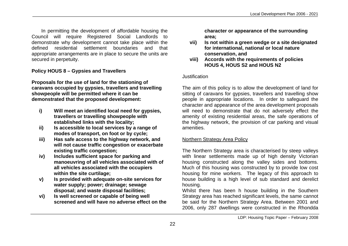In permitting the development of affordable housing the Council will require Registered Social Landlords to demonstrate why development cannot take place within the defined residential settlement boundaries and that appropriate arrangements are in place to secure the units are secured in perpetuity.

## **Policy HOUS 8 – Gypsies and Travellers**

**Proposals for the use of land for the stationing of caravans occupied by gypsies, travellers and travelling showpeople will be permitted where it can be demonstrated that the proposed development:**

- **i) Will meet an identified local need for gypsies, travellers or travelling showpeople with established links with the locality;**
- **ii) Is accessible to local services by a range of modes of transport, on foot or by cycle;**
- **iii) Has safe access to the highway network, and will not cause traffic congestion or exacerbate existing traffic congestion;**
- **iv) Includes sufficient space for parking and manoeuvring of all vehicles associated with of all vehicles associated with the occupiers within the site curtilage;**
- **v) Is provided with adequate on-site services for water supply; power; drainage; sewage disposal; and waste disposal facilities;**
- **vi) Is well screened or capable of being well screened and will have no adverse effect on the**

**character or appearance of the surrounding area;**

- **vii) Is not within a green wedge or a site designated for international, national or local nature conservation, and**
- **viii) Accords with the requirements of policies HOUS 4, HOUS S2 and HOUS N2**

#### **Justification**

The aim of this policy is to allow the development of land for sitting of caravans for gypsies, travellers and travelling show people in appropriate locations. In order to safeguard the character and appearance of the area development proposals will need to demonstrate that do not adversely effect the amenity of existing residential areas, the safe operations of the highway network, the provision of car parking and visual amenities.

### Northern Strategy Area Policy

The Northern Strategy area is characterised by steep valleys with linear settlements made up of high density Victorian housing constructed along the valley sides and bottoms. Much of this housing was constructed by to provide low cost housing for mine workers. The legacy of this approach to house building is a high level of sub standard and derelict housing.

Whilst there has been h house building in the Southern Strategy area has reached significant levels, the same cannot be said for the Northern Strategy Area. Between 2001 and 2006, only 287 dwellings were constructed in the Rhondda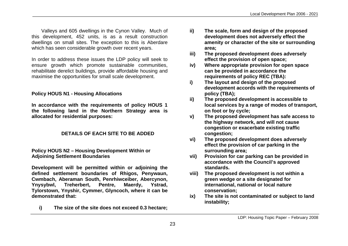Valleys and 605 dwellings in the Cynon Valley. Much of this development, 452 units, is as a result construction dwellings on small sites. The exception to this is Aberdare which has seen considerable growth over recent years.

In order to address these issues the LDP policy will seek to ensure growth which promote sustainable communities, rehabilitate derelict buildings, provide affordable housing and maximise the opportunities for small scale development.

## **Policy HOUS N1 - Housing Allocations**

**In accordance with the requirements of policy HOUS 1 the following land in the Northern Strategy area is allocated for residential purposes:**

## **DETAILS OF EACH SITE TO BE ADDED**

#### **Policy HOUS N2 – Housing Development Within or Adjoining Settlement Boundaries**

**Development will be permitted within or adjoining the defined settlement boundaries of Rhigos, Penywaun, Cwmbach, Aberaman South, Penrhiwceiber, Abercynon, Ynysybwl, Treherbert, Pentre, Maerdy, Ystrad, Tylorstown, Ynyshir, Cymmer, Glyncoch, where it can be demonstrated that:**

**i) The size of the site does not exceed 0.3 hectare;**

- **ii) The scale, form and design of the proposed development does not adversely effect the amenity or character of the site or surrounding area;**
- **iii) The proposed development does adversely effect the provision of open space;**
- **iv) Where appropriate provision for open space can be provided in accordance the requirements of policy REC (TBA):**
- **i) The layout and design of the proposed development accords with the requirements of policy (TBA);**
- **ii) The proposed development is accessible to local services by a range of modes of transport, on foot or by cycle;**
- **v) The proposed development has safe access to the highway network, and will not cause congestion or exacerbate existing traffic congestion;**
- **vi) The proposed development does adversely effect the provision of car parking in the surrounding area;**
- **vii) Provision for car parking can be provided in accordance with the Council's approved standards.**
- **viii) The proposed development is not within a green wedge or a site designated for international, national or local nature conservation;**
- **ix) The site is not contaminated or subject to land instability;**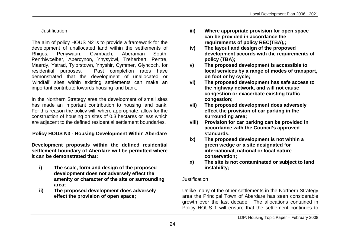## Justification

The aim of policy HOUS N2 is to provide a framework for the development of unallocated land within the settlements of Rhigos, Penywaun, Cwmbach, Aberaman South, Penrhiwceiber, Abercynon, Ynysybwl, Treherbert, Pentre, Maerdy, Ystrad, Tylorstown, Ynyshir, Cymmer, Glyncoch, for residential purposes. Past completion rates have demonstrated that the development of unallocated or 'windfall' sites within existing settlements can make an important contribute towards housing land bank.

In the Northern Strategy area the development of small sites has made an important contribution to housing land bank. For this reason the policy will, where appropriate, allow for the construction of housing on sites of 0.3 hectares or less which are adjacent to the defined residential settlement boundaries.

# **Policy HOUS N3 - Housing Development Within Aberdare**

**Development proposals within the defined residential settlement boundary of Aberdare will be permitted where it can be demonstrated that:**

- **i) The scale, form and design of the proposed development does not adversely effect the amenity or character of the site or surrounding area;**
- **ii) The proposed development does adversely effect the provision of open space;**
- **iii) Where appropriate provision for open space can be provided in accordance the requirements of policy REC(TBA),;**
- **iv) The layout and design of the proposed development accords with the requirements of policy (TBA);**
- **v) The proposed development is accessible to local services by a range of modes of transport, on foot or by cycle;**
- **vi) The proposed development has safe access to the highway network, and will not cause congestion or exacerbate existing traffic congestion;**
- **vii) The proposed development does adversely effect the provision of car parking in the surrounding area;**
- **viii) Provision for car parking can be provided in accordance with the Council's approved standards.**
- **ix) The proposed development is not within a green wedge or a site designated for international, national or local nature conservation;**
- **x) The site is not contaminated or subject to land instability;**

#### Justification

Unlike many of the other settlements in the Northern Strategy area the Principal Town of Aberdare has seen considerable growth over the last decade. The allocations contained in Policy HOUS 1 will ensure that the settlement continues to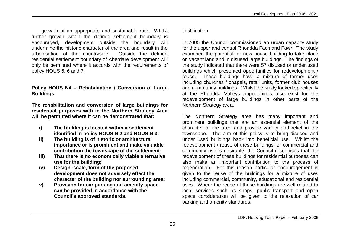grow in at an appropriate and sustainable rate. Whilst further growth within the defined settlement boundary is encouraged, development outside the boundary will undermine the historic character of the area and result in the urbanisation of the countryside. Outside the defined residential settlement boundary of Aberdare development will only be permitted where it accords with the requirements of policy HOUS 5, 6 and 7.

#### **Policy HOUS N4 – Rehabilitation / Conversion of Large Buildings**

**The rehabilitation and conversion of large buildings for residential purposes with in the Northern Strategy Area will be permitted where it can be demonstrated that:**

- **i) The building is located within a settlement identified in policy HOUS N 2 and HOUS N 3;**
- **ii) The building is of historic or architectural importance or is prominent and make valuable contribution the townscape of the settlement;**
- **iii) That there is no economically viable alternative use for the building;**
- **iv) Design, scale, form of the proposed development does not adversely effect the character of the building nor surrounding area;**
- **v) Provision for car parking and amenity space can be provided in accordance with the Council's approved standards.**

#### Justification

In 2005 the Council commissioned an urban capacity study for the upper and central Rhondda Fach and Fawr. The study examined the potential for new house building to take place on vacant land and in disused large buildings. The findings of the study indicated that there were 57 disused or under used buildings which presented opportunities for redevelopment / reuse. These buildings have a mixture of former uses including churches / chapels, retail units, former club houses and community buildings. Whilst the study looked specifically at the Rhondda Valleys opportunities also exist for the redevelopment of large buildings in other parts of the Northern Strategy area.

The Northern Strategy area has many important and prominent buildings that are an essential element of the character of the area and provide variety and relief in the townscape. The aim of this policy is to bring disused and under used buildings back into beneficial use. Whilst the redevelopment / reuse of these buildings for commercial and community use is desirable, the Council recognises that the redevelopment of these buildings for residential purposes can also make an important contribution to the process of regeneration. For this reason particular encouragement is given to the reuse of the buildings for a mixture of uses including commercial, community, educational and residential uses. Where the reuse of these buildings are well related to local services such as shops, public transport and open space consideration will be given to the relaxation of car parking and amenity standards.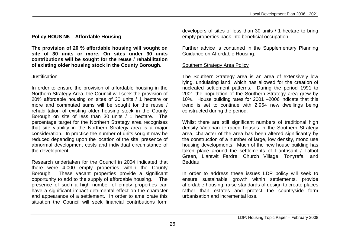# **Policy HOUS N5 – Affordable Housing**

**The provision of 20 % affordable housing will sought on site of 30 units or more. On sites under 30 units contributions will be sought for the reuse / rehabilitation of existing older housing stock in the County Borough**.

# Justification

In order to ensure the provision of affordable housing in the Northern Strategy Area, the Council will seek the provision of 20% affordable housing on sites of 30 units / 1 hectare or more and commuted sums will be sought for the reuse / rehabilitation of existing older housing stock in the County Borough on site of less than 30 units / 1 hectare. The percentage target for the Northern Strategy area recognises that site viability in the Northern Strategy area is a major consideration. In practice the number of units sought may be reduced depending upon the location of the site, presence of abnormal development costs and individual circumstance of the development.

Research undertaken for the Council in 2004 indicated that there were 4,000 empty properties within the County Borough. These vacant properties provide a significant opportunity to add to the supply of affordable housing. The presence of such a high number of empty properties can have a significant impact detrimental effect on the character and appearance of a settlement. In order to ameliorate this situation the Council will seek financial contributions form

developers of sites of less than 30 units / 1 hectare to bring empty properties back into beneficial occupation.

Further advice is contained in the Supplementary Planning Guidance on Affordable Housing.

## Southern Strategy Area Policy

The Southern Strategy area is an area of extensively low lying, undulating land, which has allowed for the creation of nucleated settlement patterns. During the period 1991 to 2001 the population of the Southern Strategy area grew by 10%. House building rates for 2001 –2006 indicate that this trend is set to continue with 2,954 new dwellings being constructed during the period.

Whilst there are still significant numbers of traditional high density Victorian terraced houses in the Southern Strategy area, character of the area has been altered significantly by the construction of a number of large, low density, mono use housing developments. Much of the new house building has taken place around the settlements of Llantrisant / Talbot Green, Llantwit Fardre, Church Village, Tonyrefail and Beddau.

In order to address these issues LDP policy will seek to ensure sustainable growth within settlements, provide affordable housing, raise standards of design to create places rather than estates and protect the countryside form urbanisation and incremental loss.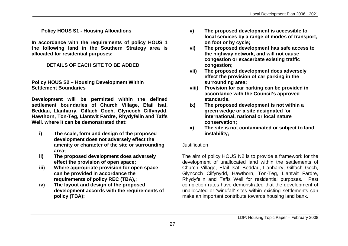**Policy HOUS S1 - Housing Allocations**

**In accordance with the requirements of policy HOUS 1 the following land in the Southern Strategy area is allocated for residential purposes:**

## **DETAILS OF EACH SITE TO BE ADDED**

#### **Policy HOUS S2 – Housing Development Within Settlement Boundaries**

**Development will be permitted within the defined settlement boundaries of Church Village, Efail Isaf, Beddau, Llanharry, Gilfach Goch, Glyncoch Cilfynydd, Hawthorn, Ton-Teg, Llantwit Fardre, Rhydyfelin and Taffs Well. where it can be demonstrated that:**

- **i) The scale, form and design of the proposed development does not adversely effect the amenity or character of the site or surrounding area;**
- **ii) The proposed development does adversely effect the provision of open space;**
- **iii) Where appropriate provision for open space can be provided in accordance the requirements of policy REC (TBA),;**
- **iv) The layout and design of the proposed development accords with the requirements of policy (TBA);**
- **v) The proposed development is accessible to local services by a range of modes of transport, on foot or by cycle;**
- **vi) The proposed development has safe access to the highway network, and will not cause congestion or exacerbate existing traffic congestion;**
- **vii) The proposed development does adversely effect the provision of car parking in the surrounding area;**
- **viii) Provision for car parking can be provided in accordance with the Council's approved standards.**
- **ix) The proposed development is not within a green wedge or a site designated for international, national or local nature conservation;**
- **x) The site is not contaminated or subject to land instability;**

### **Justification**

The aim of policy HOUS N2 is to provide a framework for the development of unallocated land within the settlements of Church Village, Efail Isaf, Beddau, Llanharry, Gilfach Goch, Glyncoch Cilfynydd, Hawthorn, Ton-Teg, Llantwit Fardre, Rhydyfelin and Taffs Well for residential purposes. Past completion rates have demonstrated that the development of unallocated or 'windfall' sites within existing settlements can make an important contribute towards housing land bank.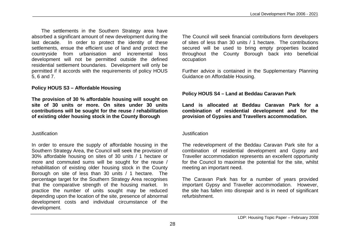The settlements in the Southern Strategy area have absorbed a significant amount of new development during the last decade. In order to protect the identity of these settlements, ensue the efficient use of land and protect the countryside from urbanisation and incremental loss development will not be permitted outside the defined residential settlement boundaries. Development will only be permitted if it accords with the requirements of policy HOUS 5, 6 and 7.

#### **Policy HOUS S3 – Affordable Housing**

**The provision of 30 % affordable housing will sought on site of 30 units or more. On sites under 30 units contributions will be sought for the reuse / rehabilitation of existing older housing stock in the County Borough**

#### Justification

In order to ensure the supply of affordable housing in the Southern Strategy Area, the Council will seek the provision of 30% affordable housing on sites of 30 units / 1 hectare or more and commuted sums will be sought for the reuse / rehabilitation of existing older housing stock in the County Borough on site of less than 30 units / 1 hectare. The percentage target for the Southern Strategy Area recognises that the comparative strength of the housing market. In practice the number of units sought may be reduced depending upon the location of the site, presence of abnormal development costs and individual circumstance of the development.

The Council will seek financial contributions form developers of sites of less than 30 units / 1 hectare. The contributions secured will be used to bring empty properties located throughout the County Borough back into beneficial occupation

Further advice is contained in the Supplementary Planning Guidance on Affordable Housing.

#### **Policy HOUS S4 – Land at Beddau Caravan Park**

**Land is allocated at Beddau Caravan Park for a combination of residential development and for the provision of Gypsies and Travellers accommodation.**

#### Justification

The redevelopment of the Beddau Caravan Park site for a combination of residential development and Gypsy and Traveller accommodation represents an excellent opportunity for the Council to maximise the potential for the site, whilst meeting an important need.

The Caravan Park has for a number of years provided important Gypsy and Traveller accommodation. However, the site has fallen into disrepair and is in need of significant refurbishment.